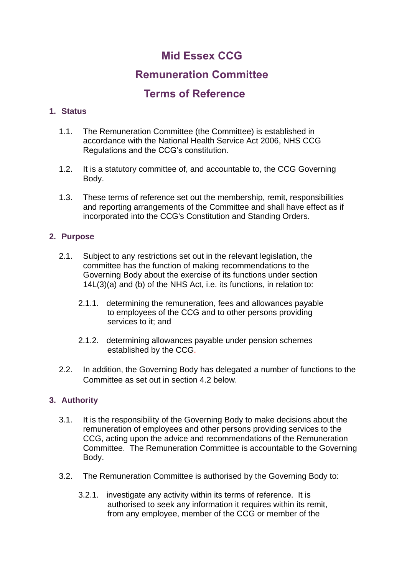# **Mid Essex CCG**

## **Remuneration Committee**

## **Terms of Reference**

## **1. Status**

- 1.1. The Remuneration Committee (the Committee) is established in accordance with the National Health Service Act 2006, NHS CCG Regulations and the CCG's constitution.
- 1.2. It is a statutory committee of, and accountable to, the CCG Governing Body.
- 1.3. These terms of reference set out the membership, remit, responsibilities and reporting arrangements of the Committee and shall have effect as if incorporated into the CCG's Constitution and Standing Orders.

## **2. Purpose**

- 2.1. Subject to any restrictions set out in the relevant legislation, the committee has the function of making recommendations to the Governing Body about the exercise of its functions under section 14L(3)(a) and (b) of the NHS Act, i.e. its functions, in relation to:
	- 2.1.1. determining the remuneration, fees and allowances payable to employees of the CCG and to other persons providing services to it: and
	- 2.1.2. determining allowances payable under pension schemes established by the CCG.
- 2.2. In addition, the Governing Body has delegated a number of functions to the Committee as set out in section 4.2 below.

## **3. Authority**

- 3.1. It is the responsibility of the Governing Body to make decisions about the remuneration of employees and other persons providing services to the CCG, acting upon the advice and recommendations of the Remuneration Committee. The Remuneration Committee is accountable to the Governing Body.
- 3.2. The Remuneration Committee is authorised by the Governing Body to:
	- 3.2.1. investigate any activity within its terms of reference. It is authorised to seek any information it requires within its remit, from any employee, member of the CCG or member of the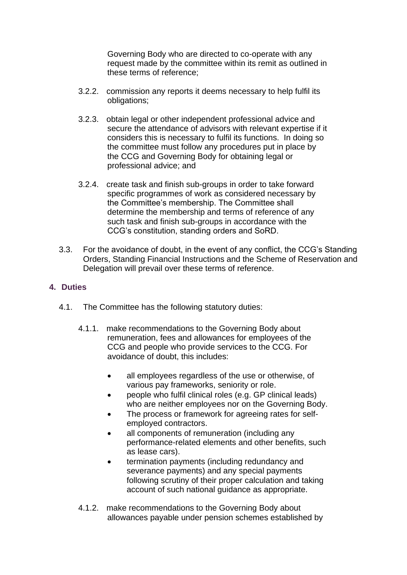Governing Body who are directed to co-operate with any request made by the committee within its remit as outlined in these terms of reference;

- 3.2.2. commission any reports it deems necessary to help fulfil its obligations;
- 3.2.3. obtain legal or other independent professional advice and secure the attendance of advisors with relevant expertise if it considers this is necessary to fulfil its functions. In doing so the committee must follow any procedures put in place by the CCG and Governing Body for obtaining legal or professional advice; and
- 3.2.4. create task and finish sub-groups in order to take forward specific programmes of work as considered necessary by the Committee's membership. The Committee shall determine the membership and terms of reference of any such task and finish sub-groups in accordance with the CCG's constitution, standing orders and SoRD.
- 3.3. For the avoidance of doubt, in the event of any conflict, the CCG's Standing Orders, Standing Financial Instructions and the Scheme of Reservation and Delegation will prevail over these terms of reference.

#### **4. Duties**

- 4.1. The Committee has the following statutory duties:
	- 4.1.1. make recommendations to the Governing Body about remuneration, fees and allowances for employees of the CCG and people who provide services to the CCG. For avoidance of doubt, this includes:
		- all employees regardless of the use or otherwise, of various pay frameworks, seniority or role.
		- people who fulfil clinical roles (e.g. GP clinical leads) who are neither employees nor on the Governing Body.
		- The process or framework for agreeing rates for selfemployed contractors.
		- all components of remuneration (including any performance-related elements and other benefits, such as lease cars).
		- termination payments (including redundancy and severance payments) and any special payments following scrutiny of their proper calculation and taking account of such national guidance as appropriate.
	- 4.1.2. make recommendations to the Governing Body about allowances payable under pension schemes established by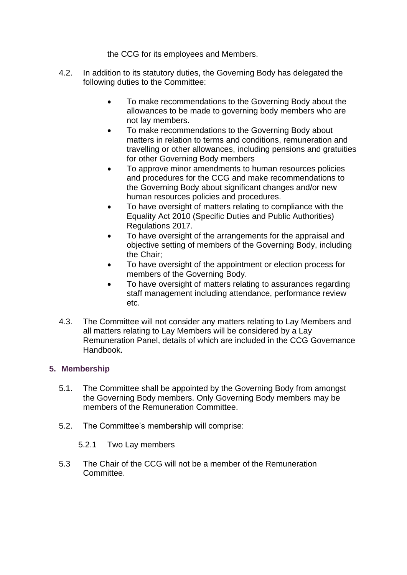the CCG for its employees and Members.

- 4.2. In addition to its statutory duties, the Governing Body has delegated the following duties to the Committee:
	- To make recommendations to the Governing Body about the allowances to be made to governing body members who are not lay members.
	- To make recommendations to the Governing Body about matters in relation to terms and conditions, remuneration and travelling or other allowances, including pensions and gratuities for other Governing Body members
	- To approve minor amendments to human resources policies and procedures for the CCG and make recommendations to the Governing Body about significant changes and/or new human resources policies and procedures.
	- To have oversight of matters relating to compliance with the Equality Act 2010 (Specific Duties and Public Authorities) Regulations 2017.
	- To have oversight of the arrangements for the appraisal and objective setting of members of the Governing Body, including the Chair;
	- To have oversight of the appointment or election process for members of the Governing Body.
	- To have oversight of matters relating to assurances regarding staff management including attendance, performance review etc.
- 4.3. The Committee will not consider any matters relating to Lay Members and all matters relating to Lay Members will be considered by a Lay Remuneration Panel, details of which are included in the CCG Governance Handbook.

## **5. Membership**

- 5.1. The Committee shall be appointed by the Governing Body from amongst the Governing Body members. Only Governing Body members may be members of the Remuneration Committee.
- 5.2. The Committee's membership will comprise:
	- 5.2.1 Two Lay members
- 5.3 The Chair of the CCG will not be a member of the Remuneration Committee.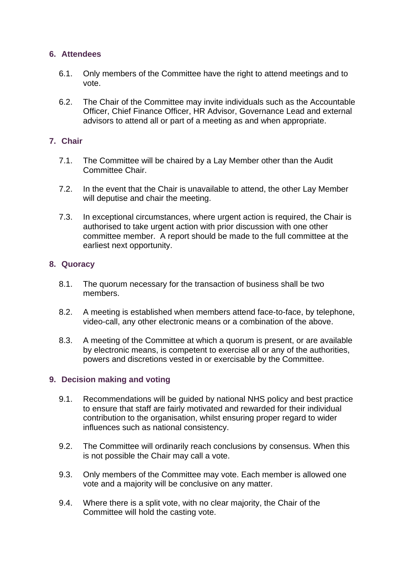#### **6. Attendees**

- 6.1. Only members of the Committee have the right to attend meetings and to vote.
- 6.2. The Chair of the Committee may invite individuals such as the Accountable Officer, Chief Finance Officer, HR Advisor, Governance Lead and external advisors to attend all or part of a meeting as and when appropriate.

#### **7. Chair**

- 7.1. The Committee will be chaired by a Lay Member other than the Audit Committee Chair.
- 7.2. In the event that the Chair is unavailable to attend, the other Lay Member will deputise and chair the meeting.
- 7.3. In exceptional circumstances, where urgent action is required, the Chair is authorised to take urgent action with prior discussion with one other committee member. A report should be made to the full committee at the earliest next opportunity.

#### **8. Quoracy**

- 8.1. The quorum necessary for the transaction of business shall be two members.
- 8.2. A meeting is established when members attend face-to-face, by telephone, video-call, any other electronic means or a combination of the above.
- 8.3. A meeting of the Committee at which a quorum is present, or are available by electronic means, is competent to exercise all or any of the authorities, powers and discretions vested in or exercisable by the Committee.

#### **9. Decision making and voting**

- 9.1. Recommendations will be guided by national NHS policy and best practice to ensure that staff are fairly motivated and rewarded for their individual contribution to the organisation, whilst ensuring proper regard to wider influences such as national consistency.
- 9.2. The Committee will ordinarily reach conclusions by consensus. When this is not possible the Chair may call a vote.
- 9.3. Only members of the Committee may vote. Each member is allowed one vote and a majority will be conclusive on any matter.
- 9.4. Where there is a split vote, with no clear majority, the Chair of the Committee will hold the casting vote.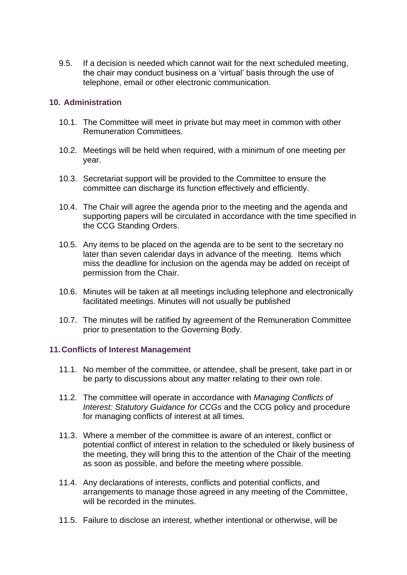9.5. If a decision is needed which cannot wait for the next scheduled meeting, the chair may conduct business on a 'virtual' basis through the use of telephone, email or other electronic communication.

#### **10. Administration**

- 10.1. The Committee will meet in private but may meet in common with other Remuneration Committees.
- 10.2. Meetings will be held when required, with a minimum of one meeting per year.
- 10.3. Secretariat support will be provided to the Committee to ensure the committee can discharge its function effectively and efficiently.
- 10.4. The Chair will agree the agenda prior to the meeting and the agenda and supporting papers will be circulated in accordance with the time specified in the CCG Standing Orders.
- 10.5. Any items to be placed on the agenda are to be sent to the secretary no later than seven calendar days in advance of the meeting. Items which miss the deadline for inclusion on the agenda may be added on receipt of permission from the Chair.
- 10.6. Minutes will be taken at all meetings including telephone and electronically facilitated meetings. Minutes will not usually be published
- 10.7. The minutes will be ratified by agreement of the Remuneration Committee prior to presentation to the Governing Body.

#### **11.Conflicts of Interest Management**

- 11.1. No member of the committee, or attendee, shall be present, take part in or be party to discussions about any matter relating to their own role.
- 11.2. The committee will operate in accordance with *Managing Conflicts of Interest: Statutory Guidance for CCGs* and the CCG policy and procedure for managing conflicts of interest at all times.
- 11.3. Where a member of the committee is aware of an interest, conflict or potential conflict of interest in relation to the scheduled or likely business of the meeting, they will bring this to the attention of the Chair of the meeting as soon as possible, and before the meeting where possible.
- 11.4. Any declarations of interests, conflicts and potential conflicts, and arrangements to manage those agreed in any meeting of the Committee, will be recorded in the minutes.
- 11.5. Failure to disclose an interest, whether intentional or otherwise, will be